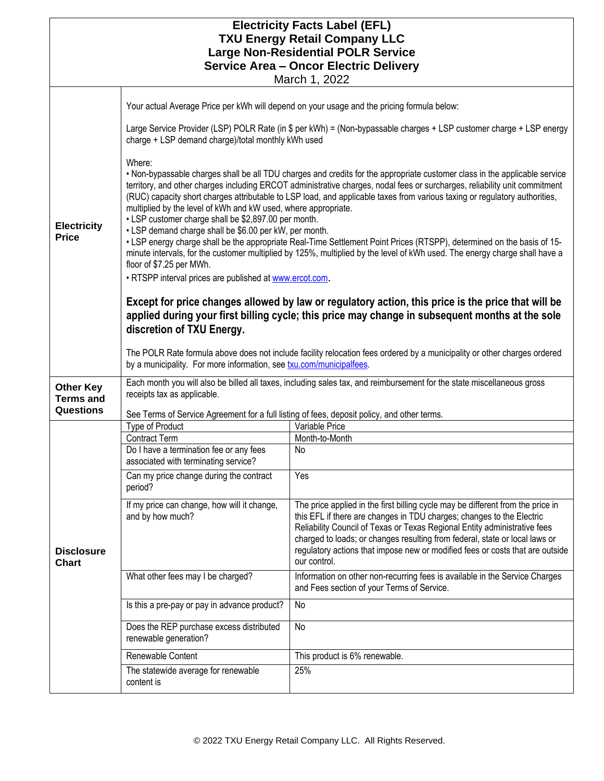| <b>Electricity Facts Label (EFL)</b>                           |                                                                                                                                                                                                                                                                                                                                                                                                                                                                                                                                                                                                                                                                                                                |                                                                                                                                                                                                                                                                                                                                                                                                                       |  |  |  |  |  |
|----------------------------------------------------------------|----------------------------------------------------------------------------------------------------------------------------------------------------------------------------------------------------------------------------------------------------------------------------------------------------------------------------------------------------------------------------------------------------------------------------------------------------------------------------------------------------------------------------------------------------------------------------------------------------------------------------------------------------------------------------------------------------------------|-----------------------------------------------------------------------------------------------------------------------------------------------------------------------------------------------------------------------------------------------------------------------------------------------------------------------------------------------------------------------------------------------------------------------|--|--|--|--|--|
| <b>TXU Energy Retail Company LLC</b>                           |                                                                                                                                                                                                                                                                                                                                                                                                                                                                                                                                                                                                                                                                                                                |                                                                                                                                                                                                                                                                                                                                                                                                                       |  |  |  |  |  |
| <b>Large Non-Residential POLR Service</b>                      |                                                                                                                                                                                                                                                                                                                                                                                                                                                                                                                                                                                                                                                                                                                |                                                                                                                                                                                                                                                                                                                                                                                                                       |  |  |  |  |  |
| <b>Service Area - Oncor Electric Delivery</b><br>March 1, 2022 |                                                                                                                                                                                                                                                                                                                                                                                                                                                                                                                                                                                                                                                                                                                |                                                                                                                                                                                                                                                                                                                                                                                                                       |  |  |  |  |  |
|                                                                |                                                                                                                                                                                                                                                                                                                                                                                                                                                                                                                                                                                                                                                                                                                |                                                                                                                                                                                                                                                                                                                                                                                                                       |  |  |  |  |  |
|                                                                | Your actual Average Price per kWh will depend on your usage and the pricing formula below:                                                                                                                                                                                                                                                                                                                                                                                                                                                                                                                                                                                                                     |                                                                                                                                                                                                                                                                                                                                                                                                                       |  |  |  |  |  |
|                                                                | Large Service Provider (LSP) POLR Rate (in \$ per kWh) = (Non-bypassable charges + LSP customer charge + LSP energy<br>charge + LSP demand charge)/total monthly kWh used                                                                                                                                                                                                                                                                                                                                                                                                                                                                                                                                      |                                                                                                                                                                                                                                                                                                                                                                                                                       |  |  |  |  |  |
| <b>Electricity</b><br><b>Price</b>                             | Where:<br>. Non-bypassable charges shall be all TDU charges and credits for the appropriate customer class in the applicable service<br>territory, and other charges including ERCOT administrative charges, nodal fees or surcharges, reliability unit commitment<br>(RUC) capacity short charges attributable to LSP load, and applicable taxes from various taxing or regulatory authorities,<br>multiplied by the level of kWh and kW used, where appropriate.<br>• LSP customer charge shall be \$2,897.00 per month.<br>• LSP demand charge shall be \$6.00 per kW, per month.<br>• LSP energy charge shall be the appropriate Real-Time Settlement Point Prices (RTSPP), determined on the basis of 15- |                                                                                                                                                                                                                                                                                                                                                                                                                       |  |  |  |  |  |
|                                                                | minute intervals, for the customer multiplied by 125%, multiplied by the level of kWh used. The energy charge shall have a<br>floor of \$7.25 per MWh.                                                                                                                                                                                                                                                                                                                                                                                                                                                                                                                                                         |                                                                                                                                                                                                                                                                                                                                                                                                                       |  |  |  |  |  |
|                                                                | . RTSPP interval prices are published at www.ercot.com.                                                                                                                                                                                                                                                                                                                                                                                                                                                                                                                                                                                                                                                        |                                                                                                                                                                                                                                                                                                                                                                                                                       |  |  |  |  |  |
|                                                                | Except for price changes allowed by law or regulatory action, this price is the price that will be<br>applied during your first billing cycle; this price may change in subsequent months at the sole<br>discretion of TXU Energy.                                                                                                                                                                                                                                                                                                                                                                                                                                                                             |                                                                                                                                                                                                                                                                                                                                                                                                                       |  |  |  |  |  |
|                                                                | The POLR Rate formula above does not include facility relocation fees ordered by a municipality or other charges ordered<br>by a municipality. For more information, see txu.com/municipalfees.                                                                                                                                                                                                                                                                                                                                                                                                                                                                                                                |                                                                                                                                                                                                                                                                                                                                                                                                                       |  |  |  |  |  |
| <b>Other Key</b><br><b>Terms and</b>                           | Each month you will also be billed all taxes, including sales tax, and reimbursement for the state miscellaneous gross<br>receipts tax as applicable.                                                                                                                                                                                                                                                                                                                                                                                                                                                                                                                                                          |                                                                                                                                                                                                                                                                                                                                                                                                                       |  |  |  |  |  |
| Questions                                                      | See Terms of Service Agreement for a full listing of fees, deposit policy, and other terms.                                                                                                                                                                                                                                                                                                                                                                                                                                                                                                                                                                                                                    |                                                                                                                                                                                                                                                                                                                                                                                                                       |  |  |  |  |  |
|                                                                | Type of Product                                                                                                                                                                                                                                                                                                                                                                                                                                                                                                                                                                                                                                                                                                | Variable Price                                                                                                                                                                                                                                                                                                                                                                                                        |  |  |  |  |  |
|                                                                | <b>Contract Term</b><br>Do I have a termination fee or any fees<br>associated with terminating service?                                                                                                                                                                                                                                                                                                                                                                                                                                                                                                                                                                                                        | Month-to-Month<br>No                                                                                                                                                                                                                                                                                                                                                                                                  |  |  |  |  |  |
|                                                                | Can my price change during the contract<br>period?                                                                                                                                                                                                                                                                                                                                                                                                                                                                                                                                                                                                                                                             | Yes                                                                                                                                                                                                                                                                                                                                                                                                                   |  |  |  |  |  |
| <b>Disclosure</b><br><b>Chart</b>                              | If my price can change, how will it change,<br>and by how much?                                                                                                                                                                                                                                                                                                                                                                                                                                                                                                                                                                                                                                                | The price applied in the first billing cycle may be different from the price in<br>this EFL if there are changes in TDU charges; changes to the Electric<br>Reliability Council of Texas or Texas Regional Entity administrative fees<br>charged to loads; or changes resulting from federal, state or local laws or<br>regulatory actions that impose new or modified fees or costs that are outside<br>our control. |  |  |  |  |  |
|                                                                | What other fees may I be charged?                                                                                                                                                                                                                                                                                                                                                                                                                                                                                                                                                                                                                                                                              | Information on other non-recurring fees is available in the Service Charges<br>and Fees section of your Terms of Service.                                                                                                                                                                                                                                                                                             |  |  |  |  |  |
|                                                                | Is this a pre-pay or pay in advance product?                                                                                                                                                                                                                                                                                                                                                                                                                                                                                                                                                                                                                                                                   | No                                                                                                                                                                                                                                                                                                                                                                                                                    |  |  |  |  |  |
|                                                                | Does the REP purchase excess distributed<br>renewable generation?                                                                                                                                                                                                                                                                                                                                                                                                                                                                                                                                                                                                                                              | No                                                                                                                                                                                                                                                                                                                                                                                                                    |  |  |  |  |  |
|                                                                | Renewable Content                                                                                                                                                                                                                                                                                                                                                                                                                                                                                                                                                                                                                                                                                              | This product is 6% renewable.                                                                                                                                                                                                                                                                                                                                                                                         |  |  |  |  |  |
|                                                                | The statewide average for renewable<br>content is                                                                                                                                                                                                                                                                                                                                                                                                                                                                                                                                                                                                                                                              | 25%                                                                                                                                                                                                                                                                                                                                                                                                                   |  |  |  |  |  |